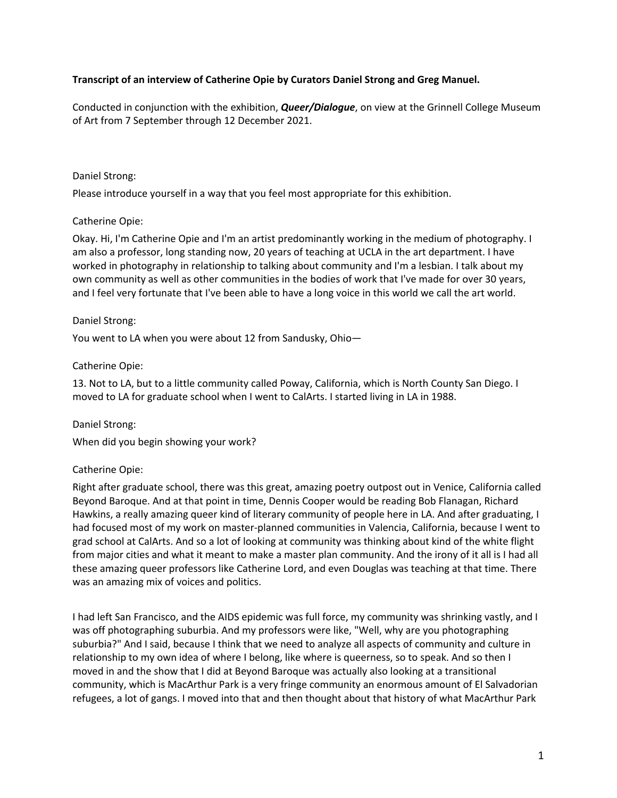### **Transcript of an interview of Catherine Opie by Curators Daniel Strong and Greg Manuel.**

Conducted in conjunction with the exhibition, *Queer/Dialogue*, on view at the Grinnell College Museum of Art from 7 September through 12 December 2021.

#### Daniel Strong:

Please introduce yourself in a way that you feel most appropriate for this exhibition.

### Catherine Opie:

Okay. Hi, I'm Catherine Opie and I'm an artist predominantly working in the medium of photography. I am also a professor, long standing now, 20 years of teaching at UCLA in the art department. I have worked in photography in relationship to talking about community and I'm a lesbian. I talk about my own community as well as other communities in the bodies of work that I've made for over 30 years, and I feel very fortunate that I've been able to have a long voice in this world we call the art world.

#### Daniel Strong:

You went to LA when you were about 12 from Sandusky, Ohio—

### Catherine Opie:

13. Not to LA, but to a little community called Poway, California, which is North County San Diego. I moved to LA for graduate school when I went to CalArts. I started living in LA in 1988.

Daniel Strong:

When did you begin showing your work?

## Catherine Opie:

Right after graduate school, there was this great, amazing poetry outpost out in Venice, California called Beyond Baroque. And at that point in time, Dennis Cooper would be reading Bob Flanagan, Richard Hawkins, a really amazing queer kind of literary community of people here in LA. And after graduating, I had focused most of my work on master-planned communities in Valencia, California, because I went to grad school at CalArts. And so a lot of looking at community was thinking about kind of the white flight from major cities and what it meant to make a master plan community. And the irony of it all is I had all these amazing queer professors like Catherine Lord, and even Douglas was teaching at that time. There was an amazing mix of voices and politics.

I had left San Francisco, and the AIDS epidemic was full force, my community was shrinking vastly, and I was off photographing suburbia. And my professors were like, "Well, why are you photographing suburbia?" And I said, because I think that we need to analyze all aspects of community and culture in relationship to my own idea of where I belong, like where is queerness, so to speak. And so then I moved in and the show that I did at Beyond Baroque was actually also looking at a transitional community, which is MacArthur Park is a very fringe community an enormous amount of El Salvadorian refugees, a lot of gangs. I moved into that and then thought about that history of what MacArthur Park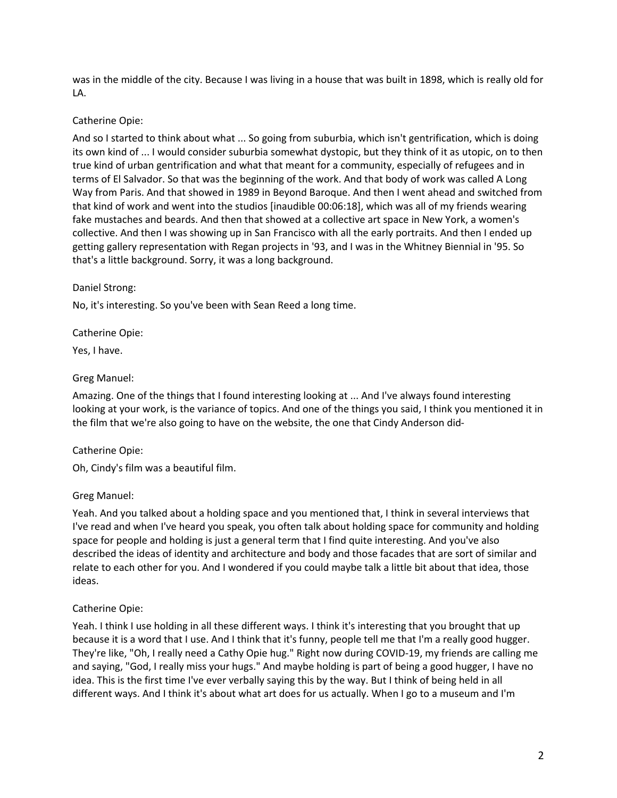was in the middle of the city. Because I was living in a house that was built in 1898, which is really old for LA.

### Catherine Opie:

And so I started to think about what ... So going from suburbia, which isn't gentrification, which is doing its own kind of ... I would consider suburbia somewhat dystopic, but they think of it as utopic, on to then true kind of urban gentrification and what that meant for a community, especially of refugees and in terms of El Salvador. So that was the beginning of the work. And that body of work was called A Long Way from Paris. And that showed in 1989 in Beyond Baroque. And then I went ahead and switched from that kind of work and went into the studios [inaudible 00:06:18], which was all of my friends wearing fake mustaches and beards. And then that showed at a collective art space in New York, a women's collective. And then I was showing up in San Francisco with all the early portraits. And then I ended up getting gallery representation with Regan projects in '93, and I was in the Whitney Biennial in '95. So that's a little background. Sorry, it was a long background.

#### Daniel Strong:

No, it's interesting. So you've been with Sean Reed a long time.

Catherine Opie:

Yes, I have.

### Greg Manuel:

Amazing. One of the things that I found interesting looking at ... And I've always found interesting looking at your work, is the variance of topics. And one of the things you said, I think you mentioned it in the film that we're also going to have on the website, the one that Cindy Anderson did-

## Catherine Opie:

Oh, Cindy's film was a beautiful film.

#### Greg Manuel:

Yeah. And you talked about a holding space and you mentioned that, I think in several interviews that I've read and when I've heard you speak, you often talk about holding space for community and holding space for people and holding is just a general term that I find quite interesting. And you've also described the ideas of identity and architecture and body and those facades that are sort of similar and relate to each other for you. And I wondered if you could maybe talk a little bit about that idea, those ideas.

## Catherine Opie:

Yeah. I think I use holding in all these different ways. I think it's interesting that you brought that up because it is a word that I use. And I think that it's funny, people tell me that I'm a really good hugger. They're like, "Oh, I really need a Cathy Opie hug." Right now during COVID-19, my friends are calling me and saying, "God, I really miss your hugs." And maybe holding is part of being a good hugger, I have no idea. This is the first time I've ever verbally saying this by the way. But I think of being held in all different ways. And I think it's about what art does for us actually. When I go to a museum and I'm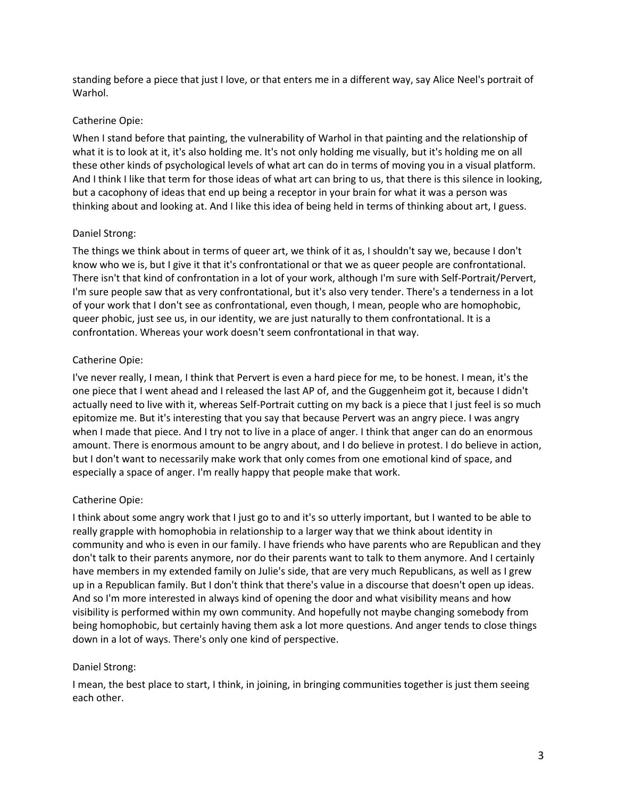standing before a piece that just I love, or that enters me in a different way, say Alice Neel's portrait of Warhol.

### Catherine Opie:

When I stand before that painting, the vulnerability of Warhol in that painting and the relationship of what it is to look at it, it's also holding me. It's not only holding me visually, but it's holding me on all these other kinds of psychological levels of what art can do in terms of moving you in a visual platform. And I think I like that term for those ideas of what art can bring to us, that there is this silence in looking, but a cacophony of ideas that end up being a receptor in your brain for what it was a person was thinking about and looking at. And I like this idea of being held in terms of thinking about art, I guess.

### Daniel Strong:

The things we think about in terms of queer art, we think of it as, I shouldn't say we, because I don't know who we is, but I give it that it's confrontational or that we as queer people are confrontational. There isn't that kind of confrontation in a lot of your work, although I'm sure with Self-Portrait/Pervert, I'm sure people saw that as very confrontational, but it's also very tender. There's a tenderness in a lot of your work that I don't see as confrontational, even though, I mean, people who are homophobic, queer phobic, just see us, in our identity, we are just naturally to them confrontational. It is a confrontation. Whereas your work doesn't seem confrontational in that way.

## Catherine Opie:

I've never really, I mean, I think that Pervert is even a hard piece for me, to be honest. I mean, it's the one piece that I went ahead and I released the last AP of, and the Guggenheim got it, because I didn't actually need to live with it, whereas Self-Portrait cutting on my back is a piece that I just feel is so much epitomize me. But it's interesting that you say that because Pervert was an angry piece. I was angry when I made that piece. And I try not to live in a place of anger. I think that anger can do an enormous amount. There is enormous amount to be angry about, and I do believe in protest. I do believe in action, but I don't want to necessarily make work that only comes from one emotional kind of space, and especially a space of anger. I'm really happy that people make that work.

## Catherine Opie:

I think about some angry work that I just go to and it's so utterly important, but I wanted to be able to really grapple with homophobia in relationship to a larger way that we think about identity in community and who is even in our family. I have friends who have parents who are Republican and they don't talk to their parents anymore, nor do their parents want to talk to them anymore. And I certainly have members in my extended family on Julie's side, that are very much Republicans, as well as I grew up in a Republican family. But I don't think that there's value in a discourse that doesn't open up ideas. And so I'm more interested in always kind of opening the door and what visibility means and how visibility is performed within my own community. And hopefully not maybe changing somebody from being homophobic, but certainly having them ask a lot more questions. And anger tends to close things down in a lot of ways. There's only one kind of perspective.

#### Daniel Strong:

I mean, the best place to start, I think, in joining, in bringing communities together is just them seeing each other.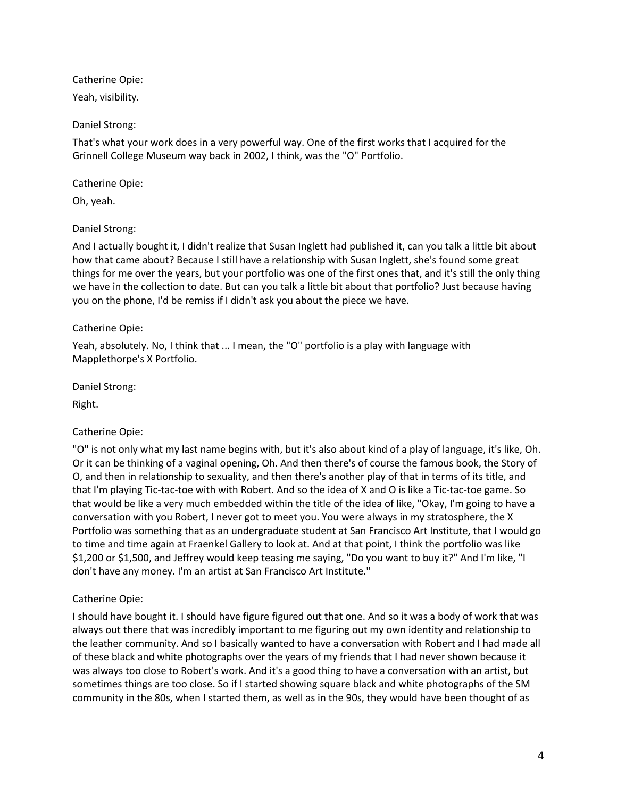Catherine Opie:

Yeah, visibility.

## Daniel Strong:

That's what your work does in a very powerful way. One of the first works that I acquired for the Grinnell College Museum way back in 2002, I think, was the "O" Portfolio.

## Catherine Opie:

Oh, yeah.

# Daniel Strong:

And I actually bought it, I didn't realize that Susan Inglett had published it, can you talk a little bit about how that came about? Because I still have a relationship with Susan Inglett, she's found some great things for me over the years, but your portfolio was one of the first ones that, and it's still the only thing we have in the collection to date. But can you talk a little bit about that portfolio? Just because having you on the phone, I'd be remiss if I didn't ask you about the piece we have.

## Catherine Opie:

Yeah, absolutely. No, I think that ... I mean, the "O" portfolio is a play with language with Mapplethorpe's X Portfolio.

Daniel Strong:

Right.

# Catherine Opie:

"O" is not only what my last name begins with, but it's also about kind of a play of language, it's like, Oh. Or it can be thinking of a vaginal opening, Oh. And then there's of course the famous book, the Story of O, and then in relationship to sexuality, and then there's another play of that in terms of its title, and that I'm playing Tic-tac-toe with with Robert. And so the idea of X and O is like a Tic-tac-toe game. So that would be like a very much embedded within the title of the idea of like, "Okay, I'm going to have a conversation with you Robert, I never got to meet you. You were always in my stratosphere, the X Portfolio was something that as an undergraduate student at San Francisco Art Institute, that I would go to time and time again at Fraenkel Gallery to look at. And at that point, I think the portfolio was like \$1,200 or \$1,500, and Jeffrey would keep teasing me saying, "Do you want to buy it?" And I'm like, "I don't have any money. I'm an artist at San Francisco Art Institute."

# Catherine Opie:

I should have bought it. I should have figure figured out that one. And so it was a body of work that was always out there that was incredibly important to me figuring out my own identity and relationship to the leather community. And so I basically wanted to have a conversation with Robert and I had made all of these black and white photographs over the years of my friends that I had never shown because it was always too close to Robert's work. And it's a good thing to have a conversation with an artist, but sometimes things are too close. So if I started showing square black and white photographs of the SM community in the 80s, when I started them, as well as in the 90s, they would have been thought of as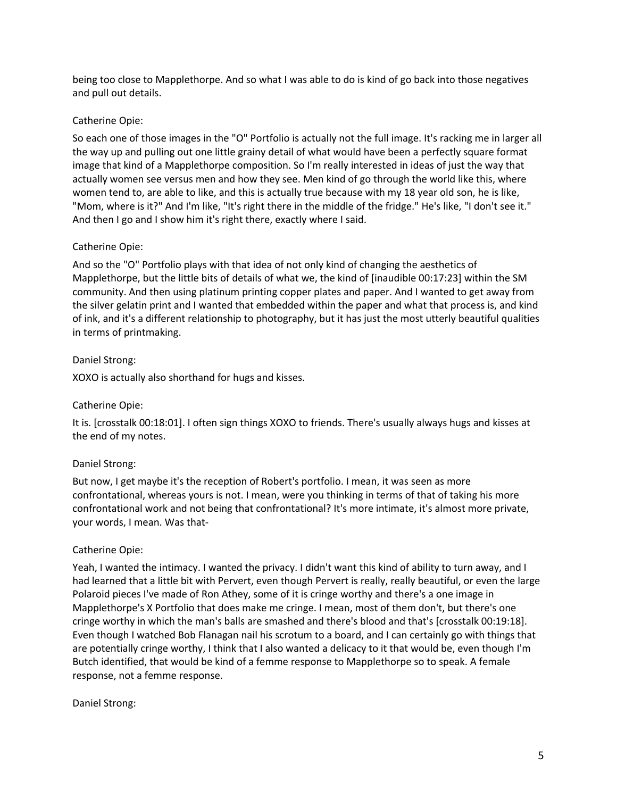being too close to Mapplethorpe. And so what I was able to do is kind of go back into those negatives and pull out details.

### Catherine Opie:

So each one of those images in the "O" Portfolio is actually not the full image. It's racking me in larger all the way up and pulling out one little grainy detail of what would have been a perfectly square format image that kind of a Mapplethorpe composition. So I'm really interested in ideas of just the way that actually women see versus men and how they see. Men kind of go through the world like this, where women tend to, are able to like, and this is actually true because with my 18 year old son, he is like, "Mom, where is it?" And I'm like, "It's right there in the middle of the fridge." He's like, "I don't see it." And then I go and I show him it's right there, exactly where I said.

### Catherine Opie:

And so the "O" Portfolio plays with that idea of not only kind of changing the aesthetics of Mapplethorpe, but the little bits of details of what we, the kind of [inaudible 00:17:23] within the SM community. And then using platinum printing copper plates and paper. And I wanted to get away from the silver gelatin print and I wanted that embedded within the paper and what that process is, and kind of ink, and it's a different relationship to photography, but it has just the most utterly beautiful qualities in terms of printmaking.

### Daniel Strong:

XOXO is actually also shorthand for hugs and kisses.

### Catherine Opie:

It is. [crosstalk 00:18:01]. I often sign things XOXO to friends. There's usually always hugs and kisses at the end of my notes.

#### Daniel Strong:

But now, I get maybe it's the reception of Robert's portfolio. I mean, it was seen as more confrontational, whereas yours is not. I mean, were you thinking in terms of that of taking his more confrontational work and not being that confrontational? It's more intimate, it's almost more private, your words, I mean. Was that-

#### Catherine Opie:

Yeah, I wanted the intimacy. I wanted the privacy. I didn't want this kind of ability to turn away, and I had learned that a little bit with Pervert, even though Pervert is really, really beautiful, or even the large Polaroid pieces I've made of Ron Athey, some of it is cringe worthy and there's a one image in Mapplethorpe's X Portfolio that does make me cringe. I mean, most of them don't, but there's one cringe worthy in which the man's balls are smashed and there's blood and that's [crosstalk 00:19:18]. Even though I watched Bob Flanagan nail his scrotum to a board, and I can certainly go with things that are potentially cringe worthy, I think that I also wanted a delicacy to it that would be, even though I'm Butch identified, that would be kind of a femme response to Mapplethorpe so to speak. A female response, not a femme response.

#### Daniel Strong: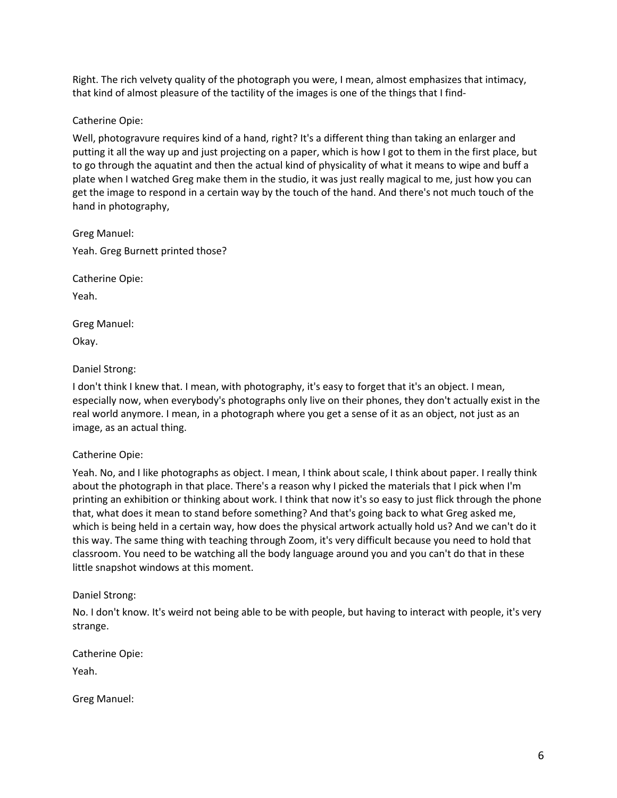Right. The rich velvety quality of the photograph you were, I mean, almost emphasizes that intimacy, that kind of almost pleasure of the tactility of the images is one of the things that I find-

Catherine Opie:

Well, photogravure requires kind of a hand, right? It's a different thing than taking an enlarger and putting it all the way up and just projecting on a paper, which is how I got to them in the first place, but to go through the aquatint and then the actual kind of physicality of what it means to wipe and buff a plate when I watched Greg make them in the studio, it was just really magical to me, just how you can get the image to respond in a certain way by the touch of the hand. And there's not much touch of the hand in photography,

Greg Manuel: Yeah. Greg Burnett printed those?

Catherine Opie:

Yeah.

Greg Manuel:

Okay.

### Daniel Strong:

I don't think I knew that. I mean, with photography, it's easy to forget that it's an object. I mean, especially now, when everybody's photographs only live on their phones, they don't actually exist in the real world anymore. I mean, in a photograph where you get a sense of it as an object, not just as an image, as an actual thing.

## Catherine Opie:

Yeah. No, and I like photographs as object. I mean, I think about scale, I think about paper. I really think about the photograph in that place. There's a reason why I picked the materials that I pick when I'm printing an exhibition or thinking about work. I think that now it's so easy to just flick through the phone that, what does it mean to stand before something? And that's going back to what Greg asked me, which is being held in a certain way, how does the physical artwork actually hold us? And we can't do it this way. The same thing with teaching through Zoom, it's very difficult because you need to hold that classroom. You need to be watching all the body language around you and you can't do that in these little snapshot windows at this moment.

## Daniel Strong:

No. I don't know. It's weird not being able to be with people, but having to interact with people, it's very strange.

Catherine Opie:

Yeah.

Greg Manuel: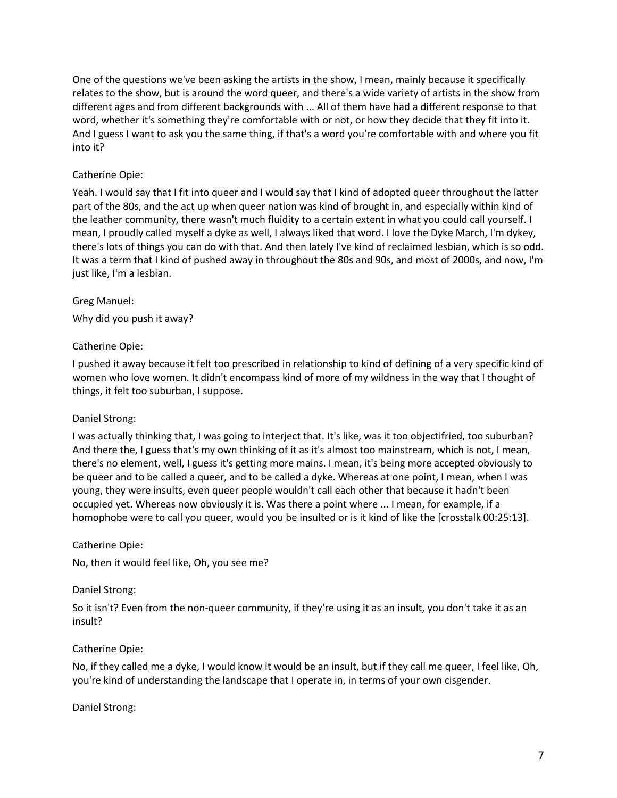One of the questions we've been asking the artists in the show, I mean, mainly because it specifically relates to the show, but is around the word queer, and there's a wide variety of artists in the show from different ages and from different backgrounds with ... All of them have had a different response to that word, whether it's something they're comfortable with or not, or how they decide that they fit into it. And I guess I want to ask you the same thing, if that's a word you're comfortable with and where you fit into it?

## Catherine Opie:

Yeah. I would say that I fit into queer and I would say that I kind of adopted queer throughout the latter part of the 80s, and the act up when queer nation was kind of brought in, and especially within kind of the leather community, there wasn't much fluidity to a certain extent in what you could call yourself. I mean, I proudly called myself a dyke as well, I always liked that word. I love the Dyke March, I'm dykey, there's lots of things you can do with that. And then lately I've kind of reclaimed lesbian, which is so odd. It was a term that I kind of pushed away in throughout the 80s and 90s, and most of 2000s, and now, I'm just like, I'm a lesbian.

#### Greg Manuel:

Why did you push it away?

### Catherine Opie:

I pushed it away because it felt too prescribed in relationship to kind of defining of a very specific kind of women who love women. It didn't encompass kind of more of my wildness in the way that I thought of things, it felt too suburban, I suppose.

#### Daniel Strong:

I was actually thinking that, I was going to interject that. It's like, was it too objectifried, too suburban? And there the, I guess that's my own thinking of it as it's almost too mainstream, which is not, I mean, there's no element, well, I guess it's getting more mains. I mean, it's being more accepted obviously to be queer and to be called a queer, and to be called a dyke. Whereas at one point, I mean, when I was young, they were insults, even queer people wouldn't call each other that because it hadn't been occupied yet. Whereas now obviously it is. Was there a point where ... I mean, for example, if a homophobe were to call you queer, would you be insulted or is it kind of like the [crosstalk 00:25:13].

#### Catherine Opie:

No, then it would feel like, Oh, you see me?

#### Daniel Strong:

So it isn't? Even from the non-queer community, if they're using it as an insult, you don't take it as an insult?

#### Catherine Opie:

No, if they called me a dyke, I would know it would be an insult, but if they call me queer, I feel like, Oh, you're kind of understanding the landscape that I operate in, in terms of your own cisgender.

#### Daniel Strong: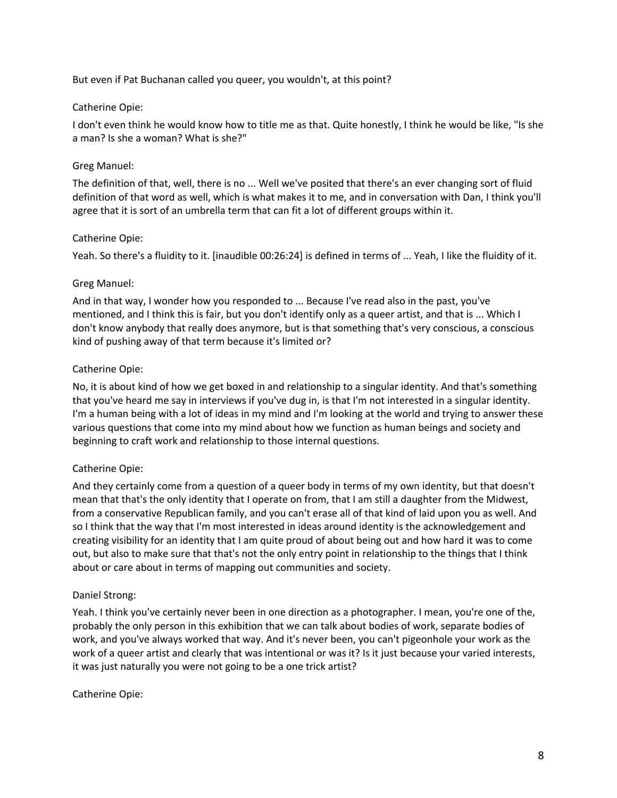But even if Pat Buchanan called you queer, you wouldn't, at this point?

### Catherine Opie:

I don't even think he would know how to title me as that. Quite honestly, I think he would be like, "Is she a man? Is she a woman? What is she?"

### Greg Manuel:

The definition of that, well, there is no ... Well we've posited that there's an ever changing sort of fluid definition of that word as well, which is what makes it to me, and in conversation with Dan, I think you'll agree that it is sort of an umbrella term that can fit a lot of different groups within it.

### Catherine Opie:

Yeah. So there's a fluidity to it. [inaudible 00:26:24] is defined in terms of ... Yeah, I like the fluidity of it.

#### Greg Manuel:

And in that way, I wonder how you responded to ... Because I've read also in the past, you've mentioned, and I think this is fair, but you don't identify only as a queer artist, and that is ... Which I don't know anybody that really does anymore, but is that something that's very conscious, a conscious kind of pushing away of that term because it's limited or?

### Catherine Opie:

No, it is about kind of how we get boxed in and relationship to a singular identity. And that's something that you've heard me say in interviews if you've dug in, is that I'm not interested in a singular identity. I'm a human being with a lot of ideas in my mind and I'm looking at the world and trying to answer these various questions that come into my mind about how we function as human beings and society and beginning to craft work and relationship to those internal questions.

## Catherine Opie:

And they certainly come from a question of a queer body in terms of my own identity, but that doesn't mean that that's the only identity that I operate on from, that I am still a daughter from the Midwest, from a conservative Republican family, and you can't erase all of that kind of laid upon you as well. And so I think that the way that I'm most interested in ideas around identity is the acknowledgement and creating visibility for an identity that I am quite proud of about being out and how hard it was to come out, but also to make sure that that's not the only entry point in relationship to the things that I think about or care about in terms of mapping out communities and society.

#### Daniel Strong:

Yeah. I think you've certainly never been in one direction as a photographer. I mean, you're one of the, probably the only person in this exhibition that we can talk about bodies of work, separate bodies of work, and you've always worked that way. And it's never been, you can't pigeonhole your work as the work of a queer artist and clearly that was intentional or was it? Is it just because your varied interests, it was just naturally you were not going to be a one trick artist?

#### Catherine Opie: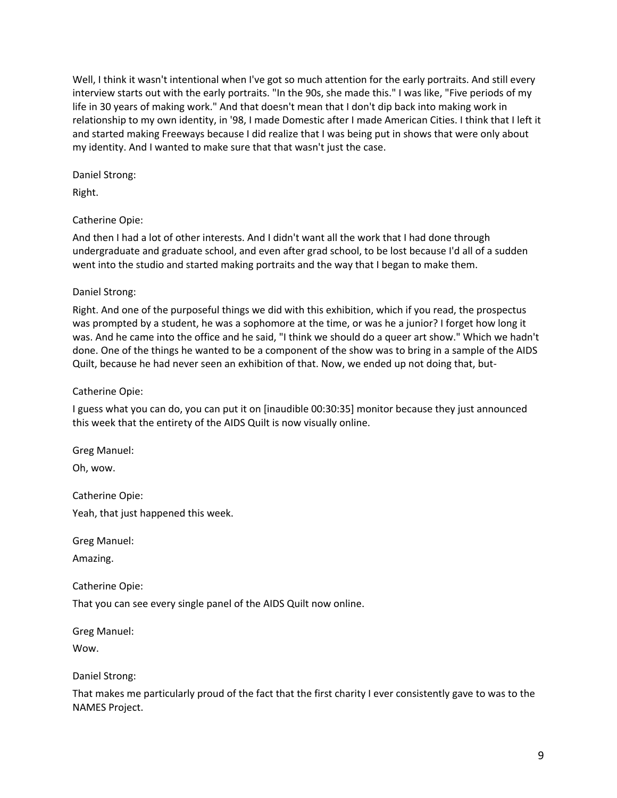Well, I think it wasn't intentional when I've got so much attention for the early portraits. And still every interview starts out with the early portraits. "In the 90s, she made this." I was like, "Five periods of my life in 30 years of making work." And that doesn't mean that I don't dip back into making work in relationship to my own identity, in '98, I made Domestic after I made American Cities. I think that I left it and started making Freeways because I did realize that I was being put in shows that were only about my identity. And I wanted to make sure that that wasn't just the case.

Daniel Strong:

Right.

## Catherine Opie:

And then I had a lot of other interests. And I didn't want all the work that I had done through undergraduate and graduate school, and even after grad school, to be lost because I'd all of a sudden went into the studio and started making portraits and the way that I began to make them.

### Daniel Strong:

Right. And one of the purposeful things we did with this exhibition, which if you read, the prospectus was prompted by a student, he was a sophomore at the time, or was he a junior? I forget how long it was. And he came into the office and he said, "I think we should do a queer art show." Which we hadn't done. One of the things he wanted to be a component of the show was to bring in a sample of the AIDS Quilt, because he had never seen an exhibition of that. Now, we ended up not doing that, but-

### Catherine Opie:

I guess what you can do, you can put it on [inaudible 00:30:35] monitor because they just announced this week that the entirety of the AIDS Quilt is now visually online.

Greg Manuel:

Oh, wow.

Catherine Opie:

Yeah, that just happened this week.

Greg Manuel:

Amazing.

Catherine Opie:

That you can see every single panel of the AIDS Quilt now online.

Greg Manuel:

Wow.

#### Daniel Strong:

That makes me particularly proud of the fact that the first charity I ever consistently gave to was to the NAMES Project.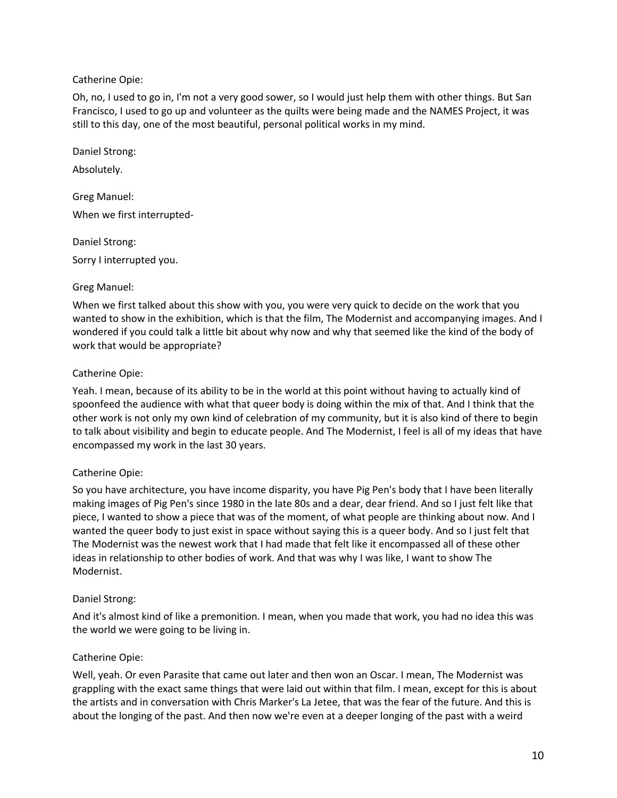### Catherine Opie:

Oh, no, I used to go in, I'm not a very good sower, so I would just help them with other things. But San Francisco, I used to go up and volunteer as the quilts were being made and the NAMES Project, it was still to this day, one of the most beautiful, personal political works in my mind.

Daniel Strong:

Absolutely.

Greg Manuel: When we first interrupted-

Daniel Strong: Sorry I interrupted you.

## Greg Manuel:

When we first talked about this show with you, you were very quick to decide on the work that you wanted to show in the exhibition, which is that the film, The Modernist and accompanying images. And I wondered if you could talk a little bit about why now and why that seemed like the kind of the body of work that would be appropriate?

### Catherine Opie:

Yeah. I mean, because of its ability to be in the world at this point without having to actually kind of spoonfeed the audience with what that queer body is doing within the mix of that. And I think that the other work is not only my own kind of celebration of my community, but it is also kind of there to begin to talk about visibility and begin to educate people. And The Modernist, I feel is all of my ideas that have encompassed my work in the last 30 years.

## Catherine Opie:

So you have architecture, you have income disparity, you have Pig Pen's body that I have been literally making images of Pig Pen's since 1980 in the late 80s and a dear, dear friend. And so I just felt like that piece, I wanted to show a piece that was of the moment, of what people are thinking about now. And I wanted the queer body to just exist in space without saying this is a queer body. And so I just felt that The Modernist was the newest work that I had made that felt like it encompassed all of these other ideas in relationship to other bodies of work. And that was why I was like, I want to show The Modernist.

#### Daniel Strong:

And it's almost kind of like a premonition. I mean, when you made that work, you had no idea this was the world we were going to be living in.

## Catherine Opie:

Well, yeah. Or even Parasite that came out later and then won an Oscar. I mean, The Modernist was grappling with the exact same things that were laid out within that film. I mean, except for this is about the artists and in conversation with Chris Marker's La Jetee, that was the fear of the future. And this is about the longing of the past. And then now we're even at a deeper longing of the past with a weird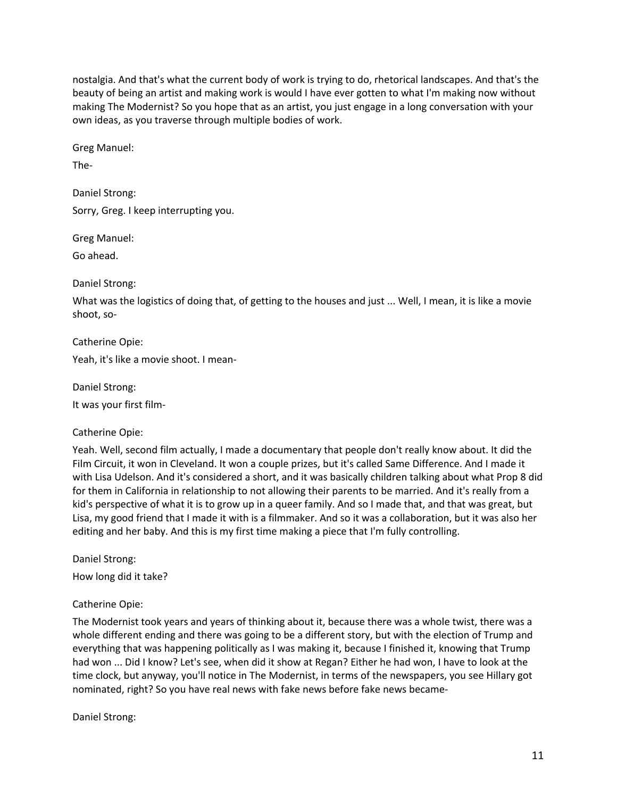nostalgia. And that's what the current body of work is trying to do, rhetorical landscapes. And that's the beauty of being an artist and making work is would I have ever gotten to what I'm making now without making The Modernist? So you hope that as an artist, you just engage in a long conversation with your own ideas, as you traverse through multiple bodies of work.

Greg Manuel:

The-

Daniel Strong:

Sorry, Greg. I keep interrupting you.

Greg Manuel:

Go ahead.

Daniel Strong:

What was the logistics of doing that, of getting to the houses and just ... Well, I mean, it is like a movie shoot, so-

Catherine Opie:

Yeah, it's like a movie shoot. I mean-

Daniel Strong: It was your first film-

Catherine Opie:

Yeah. Well, second film actually, I made a documentary that people don't really know about. It did the Film Circuit, it won in Cleveland. It won a couple prizes, but it's called Same Difference. And I made it with Lisa Udelson. And it's considered a short, and it was basically children talking about what Prop 8 did for them in California in relationship to not allowing their parents to be married. And it's really from a kid's perspective of what it is to grow up in a queer family. And so I made that, and that was great, but Lisa, my good friend that I made it with is a filmmaker. And so it was a collaboration, but it was also her editing and her baby. And this is my first time making a piece that I'm fully controlling.

Daniel Strong:

How long did it take?

Catherine Opie:

The Modernist took years and years of thinking about it, because there was a whole twist, there was a whole different ending and there was going to be a different story, but with the election of Trump and everything that was happening politically as I was making it, because I finished it, knowing that Trump had won ... Did I know? Let's see, when did it show at Regan? Either he had won, I have to look at the time clock, but anyway, you'll notice in The Modernist, in terms of the newspapers, you see Hillary got nominated, right? So you have real news with fake news before fake news became-

Daniel Strong: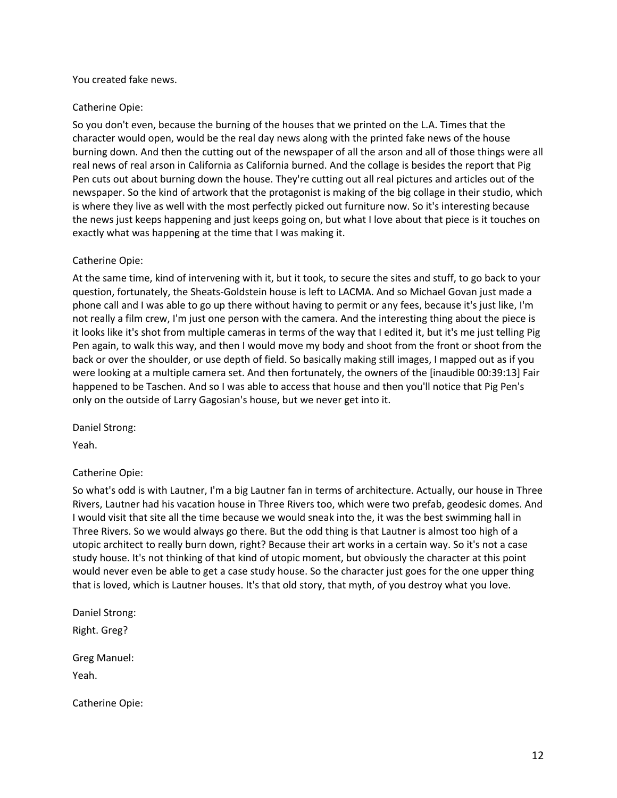#### You created fake news.

### Catherine Opie:

So you don't even, because the burning of the houses that we printed on the L.A. Times that the character would open, would be the real day news along with the printed fake news of the house burning down. And then the cutting out of the newspaper of all the arson and all of those things were all real news of real arson in California as California burned. And the collage is besides the report that Pig Pen cuts out about burning down the house. They're cutting out all real pictures and articles out of the newspaper. So the kind of artwork that the protagonist is making of the big collage in their studio, which is where they live as well with the most perfectly picked out furniture now. So it's interesting because the news just keeps happening and just keeps going on, but what I love about that piece is it touches on exactly what was happening at the time that I was making it.

#### Catherine Opie:

At the same time, kind of intervening with it, but it took, to secure the sites and stuff, to go back to your question, fortunately, the Sheats-Goldstein house is left to LACMA. And so Michael Govan just made a phone call and I was able to go up there without having to permit or any fees, because it's just like, I'm not really a film crew, I'm just one person with the camera. And the interesting thing about the piece is it looks like it's shot from multiple cameras in terms of the way that I edited it, but it's me just telling Pig Pen again, to walk this way, and then I would move my body and shoot from the front or shoot from the back or over the shoulder, or use depth of field. So basically making still images, I mapped out as if you were looking at a multiple camera set. And then fortunately, the owners of the [inaudible 00:39:13] Fair happened to be Taschen. And so I was able to access that house and then you'll notice that Pig Pen's only on the outside of Larry Gagosian's house, but we never get into it.

Daniel Strong:

Yeah.

#### Catherine Opie:

So what's odd is with Lautner, I'm a big Lautner fan in terms of architecture. Actually, our house in Three Rivers, Lautner had his vacation house in Three Rivers too, which were two prefab, geodesic domes. And I would visit that site all the time because we would sneak into the, it was the best swimming hall in Three Rivers. So we would always go there. But the odd thing is that Lautner is almost too high of a utopic architect to really burn down, right? Because their art works in a certain way. So it's not a case study house. It's not thinking of that kind of utopic moment, but obviously the character at this point would never even be able to get a case study house. So the character just goes for the one upper thing that is loved, which is Lautner houses. It's that old story, that myth, of you destroy what you love.

Daniel Strong: Right. Greg? Greg Manuel: Yeah.

Catherine Opie: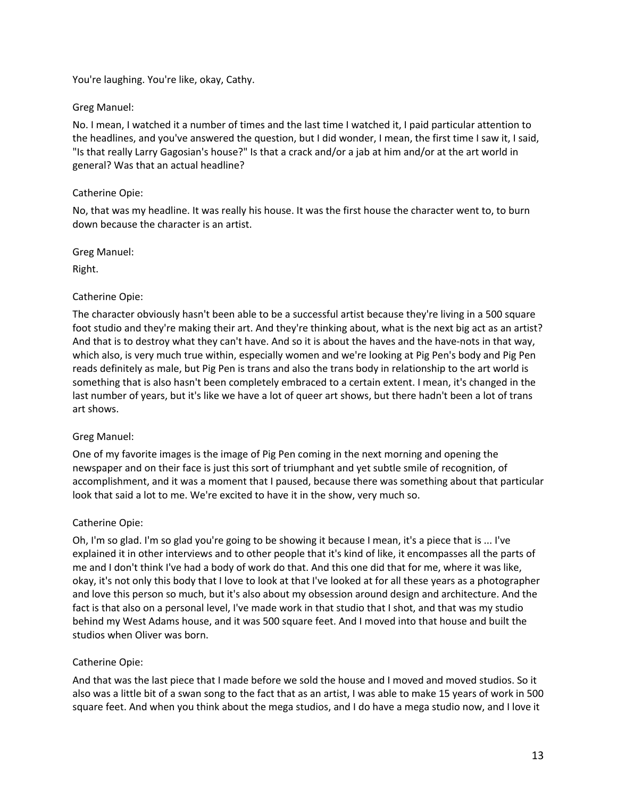You're laughing. You're like, okay, Cathy.

## Greg Manuel:

No. I mean, I watched it a number of times and the last time I watched it, I paid particular attention to the headlines, and you've answered the question, but I did wonder, I mean, the first time I saw it, I said, "Is that really Larry Gagosian's house?" Is that a crack and/or a jab at him and/or at the art world in general? Was that an actual headline?

### Catherine Opie:

No, that was my headline. It was really his house. It was the first house the character went to, to burn down because the character is an artist.

Greg Manuel:

Right.

### Catherine Opie:

The character obviously hasn't been able to be a successful artist because they're living in a 500 square foot studio and they're making their art. And they're thinking about, what is the next big act as an artist? And that is to destroy what they can't have. And so it is about the haves and the have-nots in that way, which also, is very much true within, especially women and we're looking at Pig Pen's body and Pig Pen reads definitely as male, but Pig Pen is trans and also the trans body in relationship to the art world is something that is also hasn't been completely embraced to a certain extent. I mean, it's changed in the last number of years, but it's like we have a lot of queer art shows, but there hadn't been a lot of trans art shows.

## Greg Manuel:

One of my favorite images is the image of Pig Pen coming in the next morning and opening the newspaper and on their face is just this sort of triumphant and yet subtle smile of recognition, of accomplishment, and it was a moment that I paused, because there was something about that particular look that said a lot to me. We're excited to have it in the show, very much so.

#### Catherine Opie:

Oh, I'm so glad. I'm so glad you're going to be showing it because I mean, it's a piece that is ... I've explained it in other interviews and to other people that it's kind of like, it encompasses all the parts of me and I don't think I've had a body of work do that. And this one did that for me, where it was like, okay, it's not only this body that I love to look at that I've looked at for all these years as a photographer and love this person so much, but it's also about my obsession around design and architecture. And the fact is that also on a personal level, I've made work in that studio that I shot, and that was my studio behind my West Adams house, and it was 500 square feet. And I moved into that house and built the studios when Oliver was born.

## Catherine Opie:

And that was the last piece that I made before we sold the house and I moved and moved studios. So it also was a little bit of a swan song to the fact that as an artist, I was able to make 15 years of work in 500 square feet. And when you think about the mega studios, and I do have a mega studio now, and I love it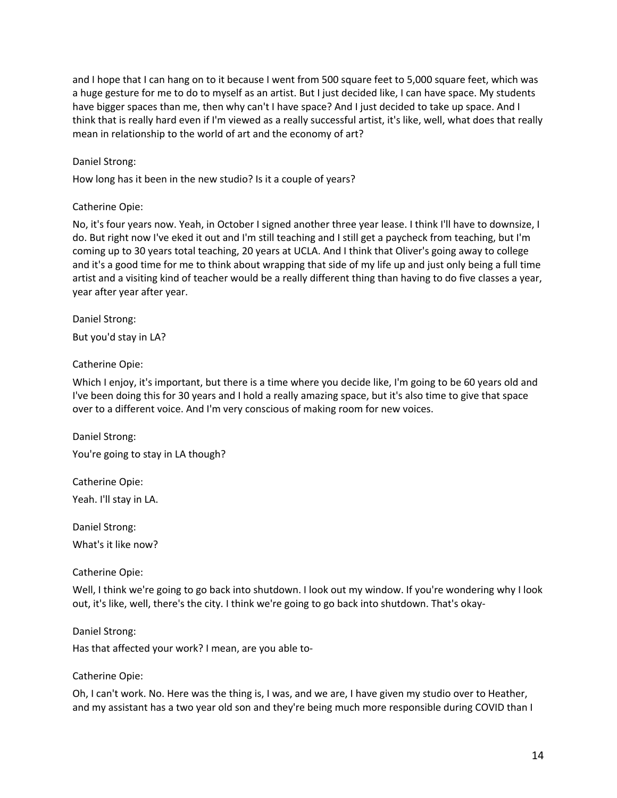and I hope that I can hang on to it because I went from 500 square feet to 5,000 square feet, which was a huge gesture for me to do to myself as an artist. But I just decided like, I can have space. My students have bigger spaces than me, then why can't I have space? And I just decided to take up space. And I think that is really hard even if I'm viewed as a really successful artist, it's like, well, what does that really mean in relationship to the world of art and the economy of art?

### Daniel Strong:

How long has it been in the new studio? Is it a couple of years?

### Catherine Opie:

No, it's four years now. Yeah, in October I signed another three year lease. I think I'll have to downsize, I do. But right now I've eked it out and I'm still teaching and I still get a paycheck from teaching, but I'm coming up to 30 years total teaching, 20 years at UCLA. And I think that Oliver's going away to college and it's a good time for me to think about wrapping that side of my life up and just only being a full time artist and a visiting kind of teacher would be a really different thing than having to do five classes a year, year after year after year.

Daniel Strong:

But you'd stay in LA?

### Catherine Opie:

Which I enjoy, it's important, but there is a time where you decide like, I'm going to be 60 years old and I've been doing this for 30 years and I hold a really amazing space, but it's also time to give that space over to a different voice. And I'm very conscious of making room for new voices.

Daniel Strong: You're going to stay in LA though?

Catherine Opie: Yeah. I'll stay in LA.

Daniel Strong: What's it like now?

#### Catherine Opie:

Well, I think we're going to go back into shutdown. I look out my window. If you're wondering why I look out, it's like, well, there's the city. I think we're going to go back into shutdown. That's okay-

#### Daniel Strong:

Has that affected your work? I mean, are you able to-

#### Catherine Opie:

Oh, I can't work. No. Here was the thing is, I was, and we are, I have given my studio over to Heather, and my assistant has a two year old son and they're being much more responsible during COVID than I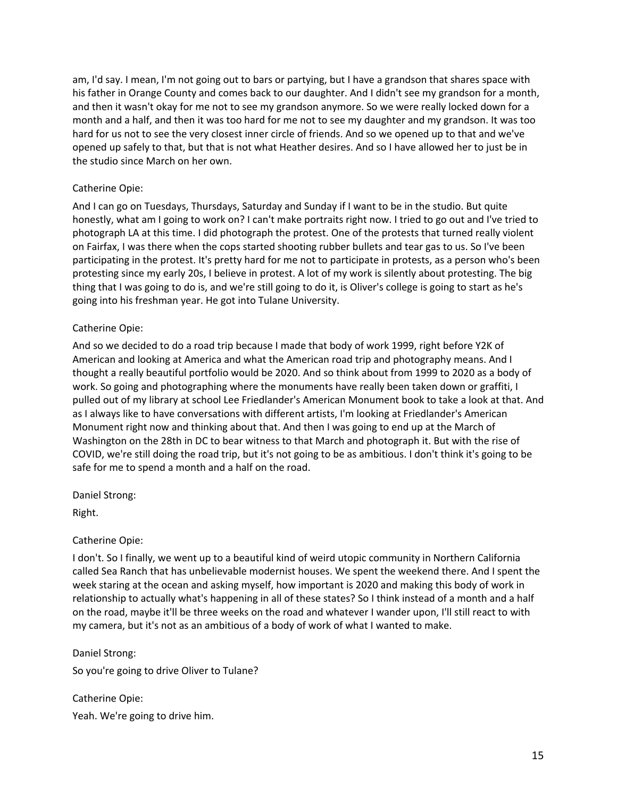am, I'd say. I mean, I'm not going out to bars or partying, but I have a grandson that shares space with his father in Orange County and comes back to our daughter. And I didn't see my grandson for a month, and then it wasn't okay for me not to see my grandson anymore. So we were really locked down for a month and a half, and then it was too hard for me not to see my daughter and my grandson. It was too hard for us not to see the very closest inner circle of friends. And so we opened up to that and we've opened up safely to that, but that is not what Heather desires. And so I have allowed her to just be in the studio since March on her own.

### Catherine Opie:

And I can go on Tuesdays, Thursdays, Saturday and Sunday if I want to be in the studio. But quite honestly, what am I going to work on? I can't make portraits right now. I tried to go out and I've tried to photograph LA at this time. I did photograph the protest. One of the protests that turned really violent on Fairfax, I was there when the cops started shooting rubber bullets and tear gas to us. So I've been participating in the protest. It's pretty hard for me not to participate in protests, as a person who's been protesting since my early 20s, I believe in protest. A lot of my work is silently about protesting. The big thing that I was going to do is, and we're still going to do it, is Oliver's college is going to start as he's going into his freshman year. He got into Tulane University.

#### Catherine Opie:

And so we decided to do a road trip because I made that body of work 1999, right before Y2K of American and looking at America and what the American road trip and photography means. And I thought a really beautiful portfolio would be 2020. And so think about from 1999 to 2020 as a body of work. So going and photographing where the monuments have really been taken down or graffiti, I pulled out of my library at school Lee Friedlander's American Monument book to take a look at that. And as I always like to have conversations with different artists, I'm looking at Friedlander's American Monument right now and thinking about that. And then I was going to end up at the March of Washington on the 28th in DC to bear witness to that March and photograph it. But with the rise of COVID, we're still doing the road trip, but it's not going to be as ambitious. I don't think it's going to be safe for me to spend a month and a half on the road.

Daniel Strong:

Right.

#### Catherine Opie:

I don't. So I finally, we went up to a beautiful kind of weird utopic community in Northern California called Sea Ranch that has unbelievable modernist houses. We spent the weekend there. And I spent the week staring at the ocean and asking myself, how important is 2020 and making this body of work in relationship to actually what's happening in all of these states? So I think instead of a month and a half on the road, maybe it'll be three weeks on the road and whatever I wander upon, I'll still react to with my camera, but it's not as an ambitious of a body of work of what I wanted to make.

#### Daniel Strong:

So you're going to drive Oliver to Tulane?

Catherine Opie: Yeah. We're going to drive him.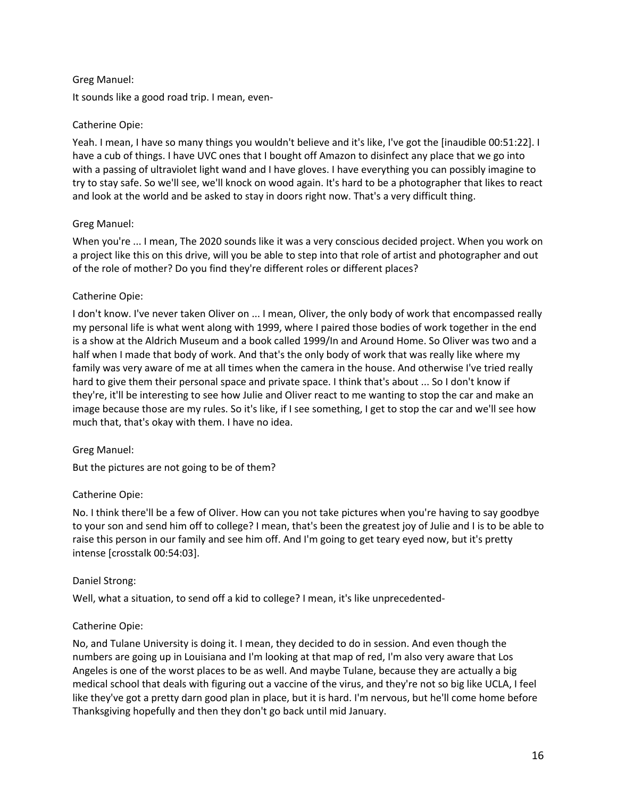### Greg Manuel:

It sounds like a good road trip. I mean, even-

### Catherine Opie:

Yeah. I mean, I have so many things you wouldn't believe and it's like, I've got the [inaudible 00:51:22]. I have a cub of things. I have UVC ones that I bought off Amazon to disinfect any place that we go into with a passing of ultraviolet light wand and I have gloves. I have everything you can possibly imagine to try to stay safe. So we'll see, we'll knock on wood again. It's hard to be a photographer that likes to react and look at the world and be asked to stay in doors right now. That's a very difficult thing.

### Greg Manuel:

When you're ... I mean, The 2020 sounds like it was a very conscious decided project. When you work on a project like this on this drive, will you be able to step into that role of artist and photographer and out of the role of mother? Do you find they're different roles or different places?

### Catherine Opie:

I don't know. I've never taken Oliver on ... I mean, Oliver, the only body of work that encompassed really my personal life is what went along with 1999, where I paired those bodies of work together in the end is a show at the Aldrich Museum and a book called 1999/In and Around Home. So Oliver was two and a half when I made that body of work. And that's the only body of work that was really like where my family was very aware of me at all times when the camera in the house. And otherwise I've tried really hard to give them their personal space and private space. I think that's about ... So I don't know if they're, it'll be interesting to see how Julie and Oliver react to me wanting to stop the car and make an image because those are my rules. So it's like, if I see something, I get to stop the car and we'll see how much that, that's okay with them. I have no idea.

#### Greg Manuel:

But the pictures are not going to be of them?

#### Catherine Opie:

No. I think there'll be a few of Oliver. How can you not take pictures when you're having to say goodbye to your son and send him off to college? I mean, that's been the greatest joy of Julie and I is to be able to raise this person in our family and see him off. And I'm going to get teary eyed now, but it's pretty intense [crosstalk 00:54:03].

#### Daniel Strong:

Well, what a situation, to send off a kid to college? I mean, it's like unprecedented-

## Catherine Opie:

No, and Tulane University is doing it. I mean, they decided to do in session. And even though the numbers are going up in Louisiana and I'm looking at that map of red, I'm also very aware that Los Angeles is one of the worst places to be as well. And maybe Tulane, because they are actually a big medical school that deals with figuring out a vaccine of the virus, and they're not so big like UCLA, I feel like they've got a pretty darn good plan in place, but it is hard. I'm nervous, but he'll come home before Thanksgiving hopefully and then they don't go back until mid January.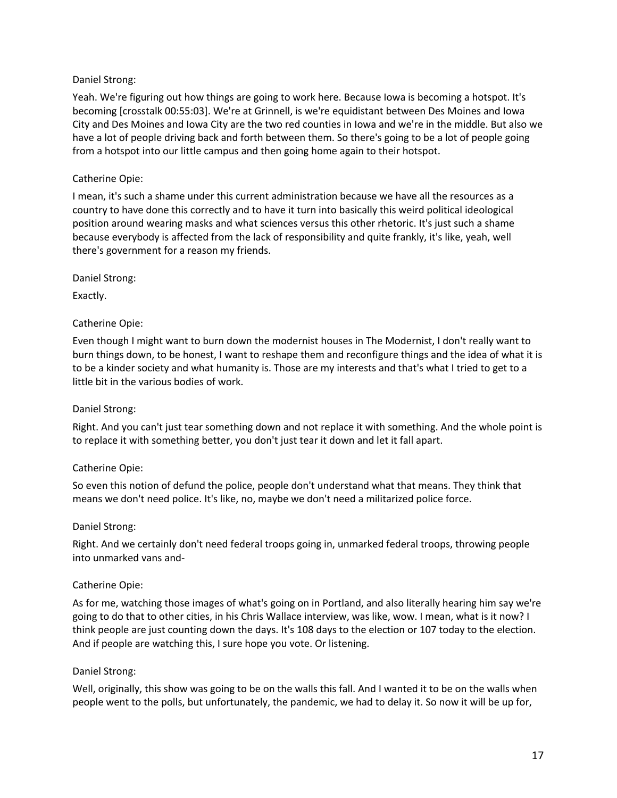### Daniel Strong:

Yeah. We're figuring out how things are going to work here. Because Iowa is becoming a hotspot. It's becoming [crosstalk 00:55:03]. We're at Grinnell, is we're equidistant between Des Moines and Iowa City and Des Moines and Iowa City are the two red counties in Iowa and we're in the middle. But also we have a lot of people driving back and forth between them. So there's going to be a lot of people going from a hotspot into our little campus and then going home again to their hotspot.

### Catherine Opie:

I mean, it's such a shame under this current administration because we have all the resources as a country to have done this correctly and to have it turn into basically this weird political ideological position around wearing masks and what sciences versus this other rhetoric. It's just such a shame because everybody is affected from the lack of responsibility and quite frankly, it's like, yeah, well there's government for a reason my friends.

Daniel Strong:

Exactly.

### Catherine Opie:

Even though I might want to burn down the modernist houses in The Modernist, I don't really want to burn things down, to be honest, I want to reshape them and reconfigure things and the idea of what it is to be a kinder society and what humanity is. Those are my interests and that's what I tried to get to a little bit in the various bodies of work.

#### Daniel Strong:

Right. And you can't just tear something down and not replace it with something. And the whole point is to replace it with something better, you don't just tear it down and let it fall apart.

#### Catherine Opie:

So even this notion of defund the police, people don't understand what that means. They think that means we don't need police. It's like, no, maybe we don't need a militarized police force.

#### Daniel Strong:

Right. And we certainly don't need federal troops going in, unmarked federal troops, throwing people into unmarked vans and-

#### Catherine Opie:

As for me, watching those images of what's going on in Portland, and also literally hearing him say we're going to do that to other cities, in his Chris Wallace interview, was like, wow. I mean, what is it now? I think people are just counting down the days. It's 108 days to the election or 107 today to the election. And if people are watching this, I sure hope you vote. Or listening.

#### Daniel Strong:

Well, originally, this show was going to be on the walls this fall. And I wanted it to be on the walls when people went to the polls, but unfortunately, the pandemic, we had to delay it. So now it will be up for,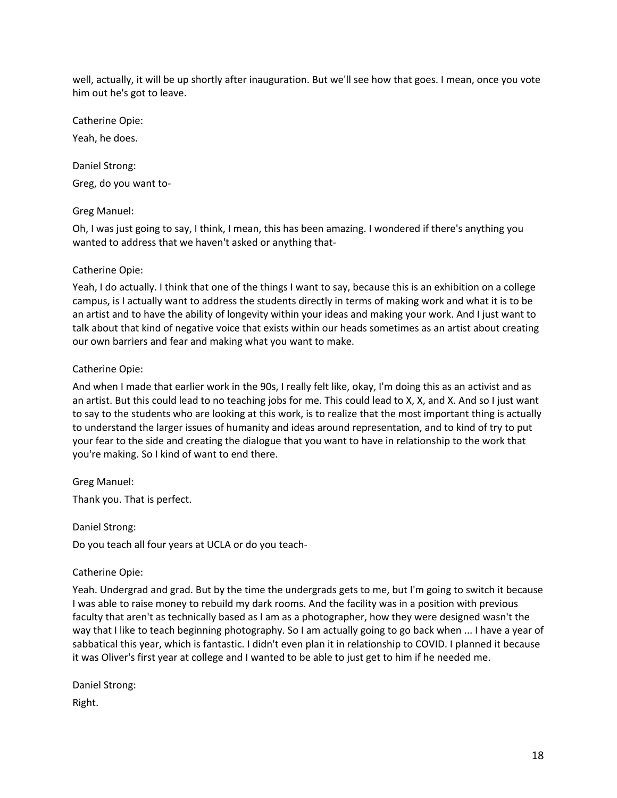well, actually, it will be up shortly after inauguration. But we'll see how that goes. I mean, once you vote him out he's got to leave.

Catherine Opie:

Yeah, he does.

Daniel Strong:

Greg, do you want to-

Greg Manuel:

Oh, I was just going to say, I think, I mean, this has been amazing. I wondered if there's anything you wanted to address that we haven't asked or anything that-

#### Catherine Opie:

Yeah, I do actually. I think that one of the things I want to say, because this is an exhibition on a college campus, is I actually want to address the students directly in terms of making work and what it is to be an artist and to have the ability of longevity within your ideas and making your work. And I just want to talk about that kind of negative voice that exists within our heads sometimes as an artist about creating our own barriers and fear and making what you want to make.

#### Catherine Opie:

And when I made that earlier work in the 90s, I really felt like, okay, I'm doing this as an activist and as an artist. But this could lead to no teaching jobs for me. This could lead to X, X, and X. And so I just want to say to the students who are looking at this work, is to realize that the most important thing is actually to understand the larger issues of humanity and ideas around representation, and to kind of try to put your fear to the side and creating the dialogue that you want to have in relationship to the work that you're making. So I kind of want to end there.

Greg Manuel:

Thank you. That is perfect.

Daniel Strong:

Do you teach all four years at UCLA or do you teach-

#### Catherine Opie:

Yeah. Undergrad and grad. But by the time the undergrads gets to me, but I'm going to switch it because I was able to raise money to rebuild my dark rooms. And the facility was in a position with previous faculty that aren't as technically based as I am as a photographer, how they were designed wasn't the way that I like to teach beginning photography. So I am actually going to go back when ... I have a year of sabbatical this year, which is fantastic. I didn't even plan it in relationship to COVID. I planned it because it was Oliver's first year at college and I wanted to be able to just get to him if he needed me.

Daniel Strong:

Right.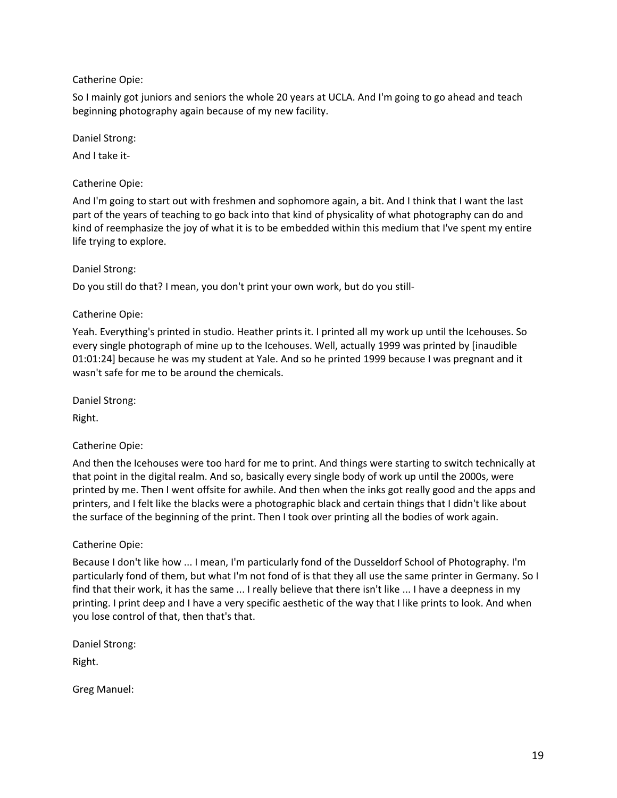### Catherine Opie:

So I mainly got juniors and seniors the whole 20 years at UCLA. And I'm going to go ahead and teach beginning photography again because of my new facility.

Daniel Strong:

And I take it-

### Catherine Opie:

And I'm going to start out with freshmen and sophomore again, a bit. And I think that I want the last part of the years of teaching to go back into that kind of physicality of what photography can do and kind of reemphasize the joy of what it is to be embedded within this medium that I've spent my entire life trying to explore.

### Daniel Strong:

Do you still do that? I mean, you don't print your own work, but do you still-

### Catherine Opie:

Yeah. Everything's printed in studio. Heather prints it. I printed all my work up until the Icehouses. So every single photograph of mine up to the Icehouses. Well, actually 1999 was printed by [inaudible 01:01:24] because he was my student at Yale. And so he printed 1999 because I was pregnant and it wasn't safe for me to be around the chemicals.

Daniel Strong:

Right.

Catherine Opie:

And then the Icehouses were too hard for me to print. And things were starting to switch technically at that point in the digital realm. And so, basically every single body of work up until the 2000s, were printed by me. Then I went offsite for awhile. And then when the inks got really good and the apps and printers, and I felt like the blacks were a photographic black and certain things that I didn't like about the surface of the beginning of the print. Then I took over printing all the bodies of work again.

## Catherine Opie:

Because I don't like how ... I mean, I'm particularly fond of the Dusseldorf School of Photography. I'm particularly fond of them, but what I'm not fond of is that they all use the same printer in Germany. So I find that their work, it has the same ... I really believe that there isn't like ... I have a deepness in my printing. I print deep and I have a very specific aesthetic of the way that I like prints to look. And when you lose control of that, then that's that.

Daniel Strong:

Right.

Greg Manuel: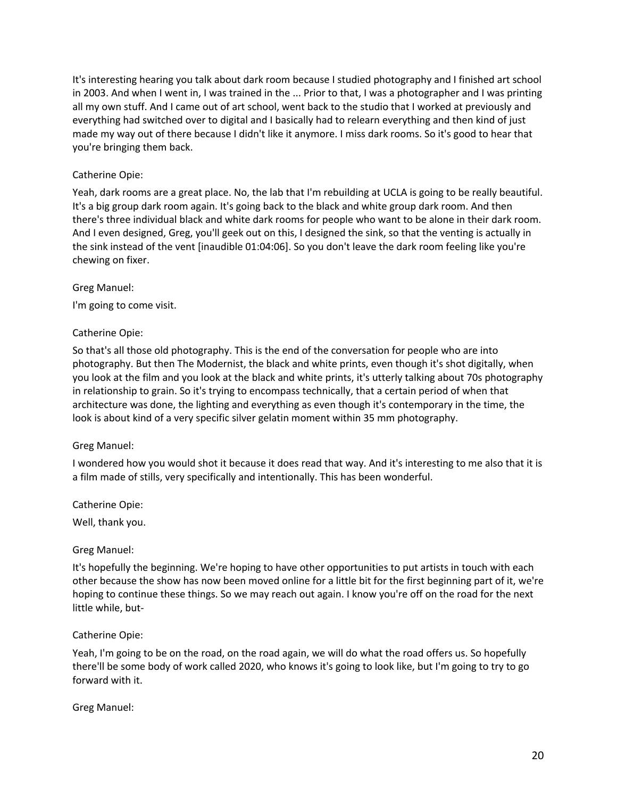It's interesting hearing you talk about dark room because I studied photography and I finished art school in 2003. And when I went in, I was trained in the ... Prior to that, I was a photographer and I was printing all my own stuff. And I came out of art school, went back to the studio that I worked at previously and everything had switched over to digital and I basically had to relearn everything and then kind of just made my way out of there because I didn't like it anymore. I miss dark rooms. So it's good to hear that you're bringing them back.

### Catherine Opie:

Yeah, dark rooms are a great place. No, the lab that I'm rebuilding at UCLA is going to be really beautiful. It's a big group dark room again. It's going back to the black and white group dark room. And then there's three individual black and white dark rooms for people who want to be alone in their dark room. And I even designed, Greg, you'll geek out on this, I designed the sink, so that the venting is actually in the sink instead of the vent [inaudible 01:04:06]. So you don't leave the dark room feeling like you're chewing on fixer.

#### Greg Manuel:

I'm going to come visit.

#### Catherine Opie:

So that's all those old photography. This is the end of the conversation for people who are into photography. But then The Modernist, the black and white prints, even though it's shot digitally, when you look at the film and you look at the black and white prints, it's utterly talking about 70s photography in relationship to grain. So it's trying to encompass technically, that a certain period of when that architecture was done, the lighting and everything as even though it's contemporary in the time, the look is about kind of a very specific silver gelatin moment within 35 mm photography.

#### Greg Manuel:

I wondered how you would shot it because it does read that way. And it's interesting to me also that it is a film made of stills, very specifically and intentionally. This has been wonderful.

Catherine Opie:

Well, thank you.

#### Greg Manuel:

It's hopefully the beginning. We're hoping to have other opportunities to put artists in touch with each other because the show has now been moved online for a little bit for the first beginning part of it, we're hoping to continue these things. So we may reach out again. I know you're off on the road for the next little while, but-

#### Catherine Opie:

Yeah, I'm going to be on the road, on the road again, we will do what the road offers us. So hopefully there'll be some body of work called 2020, who knows it's going to look like, but I'm going to try to go forward with it.

#### Greg Manuel: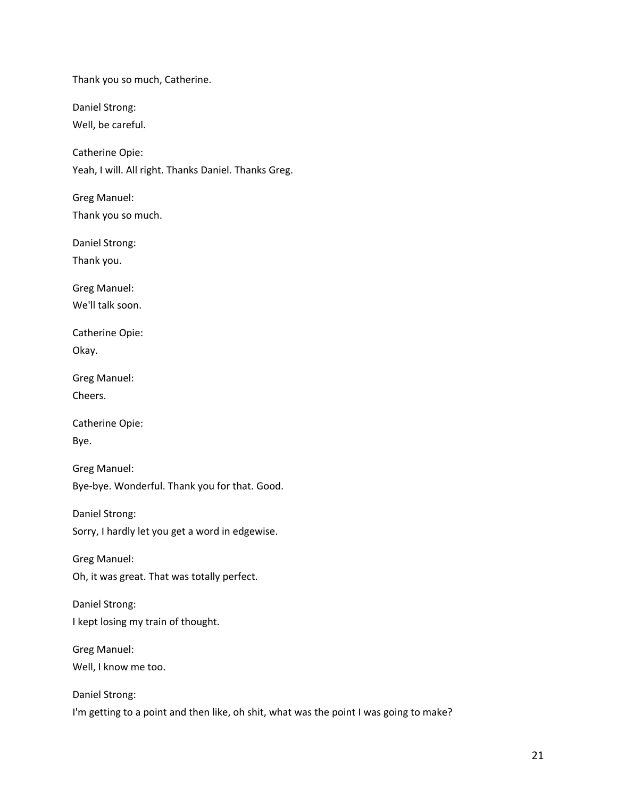Thank you so much, Catherine.

Daniel Strong:

Well, be careful.

Catherine Opie:

Yeah, I will. All right. Thanks Daniel. Thanks Greg.

Greg Manuel:

Thank you so much.

Daniel Strong:

Thank you.

Greg Manuel: We'll talk soon.

Catherine Opie:

Okay.

Greg Manuel:

Cheers.

Catherine Opie: Bye.

Greg Manuel: Bye-bye. Wonderful. Thank you for that. Good.

Daniel Strong: Sorry, I hardly let you get a word in edgewise.

Greg Manuel: Oh, it was great. That was totally perfect.

Daniel Strong: I kept losing my train of thought.

Greg Manuel:

Well, I know me too.

Daniel Strong: I'm getting to a point and then like, oh shit, what was the point I was going to make?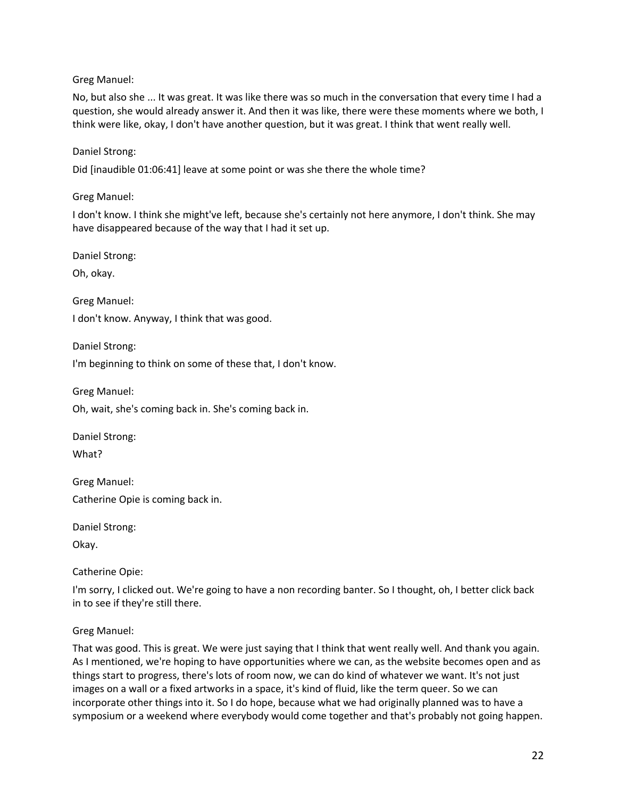Greg Manuel:

No, but also she ... It was great. It was like there was so much in the conversation that every time I had a question, she would already answer it. And then it was like, there were these moments where we both, I think were like, okay, I don't have another question, but it was great. I think that went really well.

### Daniel Strong:

Did [inaudible 01:06:41] leave at some point or was she there the whole time?

Greg Manuel:

I don't know. I think she might've left, because she's certainly not here anymore, I don't think. She may have disappeared because of the way that I had it set up.

Daniel Strong:

Oh, okay.

Greg Manuel: I don't know. Anyway, I think that was good.

Daniel Strong:

I'm beginning to think on some of these that, I don't know.

Greg Manuel:

Oh, wait, she's coming back in. She's coming back in.

Daniel Strong:

What?

Greg Manuel:

Catherine Opie is coming back in.

Daniel Strong:

Okay.

Catherine Opie:

I'm sorry, I clicked out. We're going to have a non recording banter. So I thought, oh, I better click back in to see if they're still there.

#### Greg Manuel:

That was good. This is great. We were just saying that I think that went really well. And thank you again. As I mentioned, we're hoping to have opportunities where we can, as the website becomes open and as things start to progress, there's lots of room now, we can do kind of whatever we want. It's not just images on a wall or a fixed artworks in a space, it's kind of fluid, like the term queer. So we can incorporate other things into it. So I do hope, because what we had originally planned was to have a symposium or a weekend where everybody would come together and that's probably not going happen.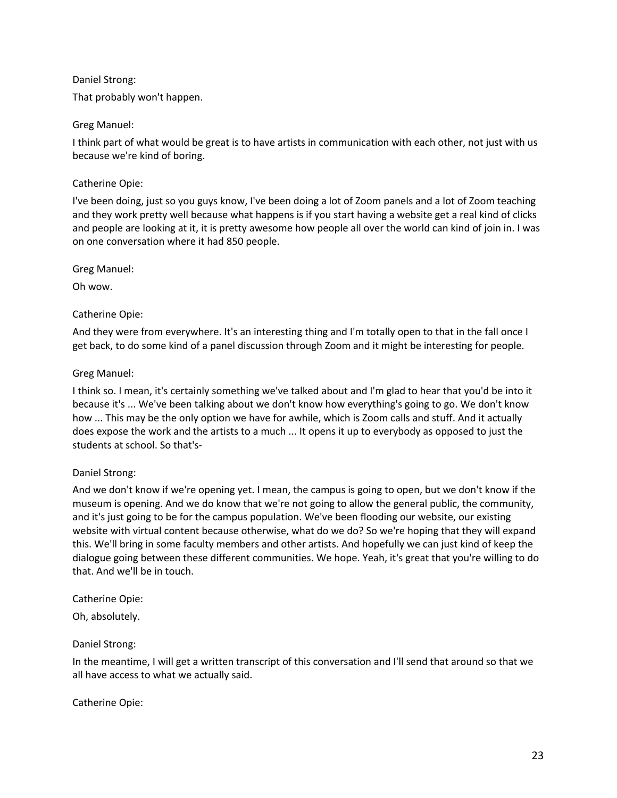### Daniel Strong:

That probably won't happen.

## Greg Manuel:

I think part of what would be great is to have artists in communication with each other, not just with us because we're kind of boring.

## Catherine Opie:

I've been doing, just so you guys know, I've been doing a lot of Zoom panels and a lot of Zoom teaching and they work pretty well because what happens is if you start having a website get a real kind of clicks and people are looking at it, it is pretty awesome how people all over the world can kind of join in. I was on one conversation where it had 850 people.

## Greg Manuel:

Oh wow.

## Catherine Opie:

And they were from everywhere. It's an interesting thing and I'm totally open to that in the fall once I get back, to do some kind of a panel discussion through Zoom and it might be interesting for people.

## Greg Manuel:

I think so. I mean, it's certainly something we've talked about and I'm glad to hear that you'd be into it because it's ... We've been talking about we don't know how everything's going to go. We don't know how ... This may be the only option we have for awhile, which is Zoom calls and stuff. And it actually does expose the work and the artists to a much ... It opens it up to everybody as opposed to just the students at school. So that's-

## Daniel Strong:

And we don't know if we're opening yet. I mean, the campus is going to open, but we don't know if the museum is opening. And we do know that we're not going to allow the general public, the community, and it's just going to be for the campus population. We've been flooding our website, our existing website with virtual content because otherwise, what do we do? So we're hoping that they will expand this. We'll bring in some faculty members and other artists. And hopefully we can just kind of keep the dialogue going between these different communities. We hope. Yeah, it's great that you're willing to do that. And we'll be in touch.

## Catherine Opie:

Oh, absolutely.

## Daniel Strong:

In the meantime, I will get a written transcript of this conversation and I'll send that around so that we all have access to what we actually said.

## Catherine Opie: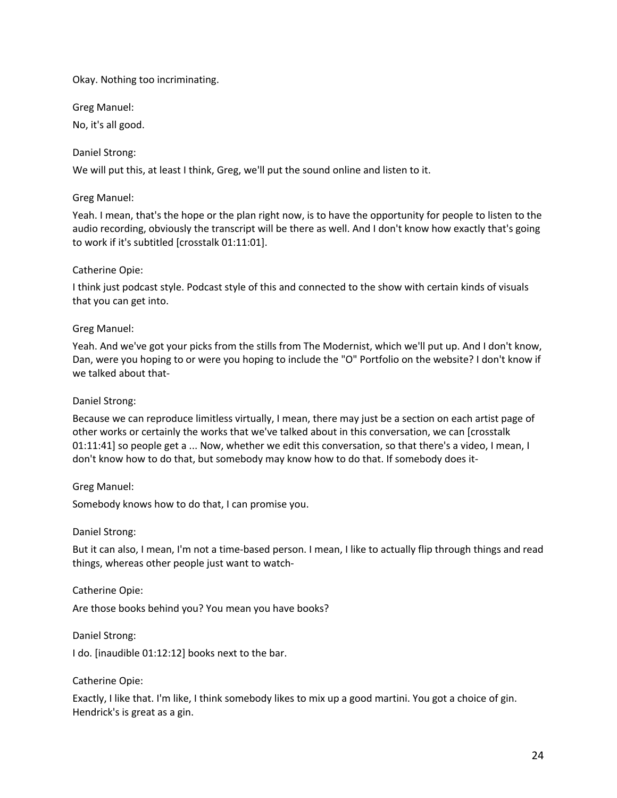### Okay. Nothing too incriminating.

Greg Manuel:

No, it's all good.

### Daniel Strong:

We will put this, at least I think, Greg, we'll put the sound online and listen to it.

### Greg Manuel:

Yeah. I mean, that's the hope or the plan right now, is to have the opportunity for people to listen to the audio recording, obviously the transcript will be there as well. And I don't know how exactly that's going to work if it's subtitled [crosstalk 01:11:01].

### Catherine Opie:

I think just podcast style. Podcast style of this and connected to the show with certain kinds of visuals that you can get into.

### Greg Manuel:

Yeah. And we've got your picks from the stills from The Modernist, which we'll put up. And I don't know, Dan, were you hoping to or were you hoping to include the "O" Portfolio on the website? I don't know if we talked about that-

### Daniel Strong:

Because we can reproduce limitless virtually, I mean, there may just be a section on each artist page of other works or certainly the works that we've talked about in this conversation, we can [crosstalk 01:11:41] so people get a ... Now, whether we edit this conversation, so that there's a video, I mean, I don't know how to do that, but somebody may know how to do that. If somebody does it-

## Greg Manuel:

Somebody knows how to do that, I can promise you.

#### Daniel Strong:

But it can also, I mean, I'm not a time-based person. I mean, I like to actually flip through things and read things, whereas other people just want to watch-

#### Catherine Opie:

Are those books behind you? You mean you have books?

#### Daniel Strong:

I do. [inaudible 01:12:12] books next to the bar.

#### Catherine Opie:

Exactly, I like that. I'm like, I think somebody likes to mix up a good martini. You got a choice of gin. Hendrick's is great as a gin.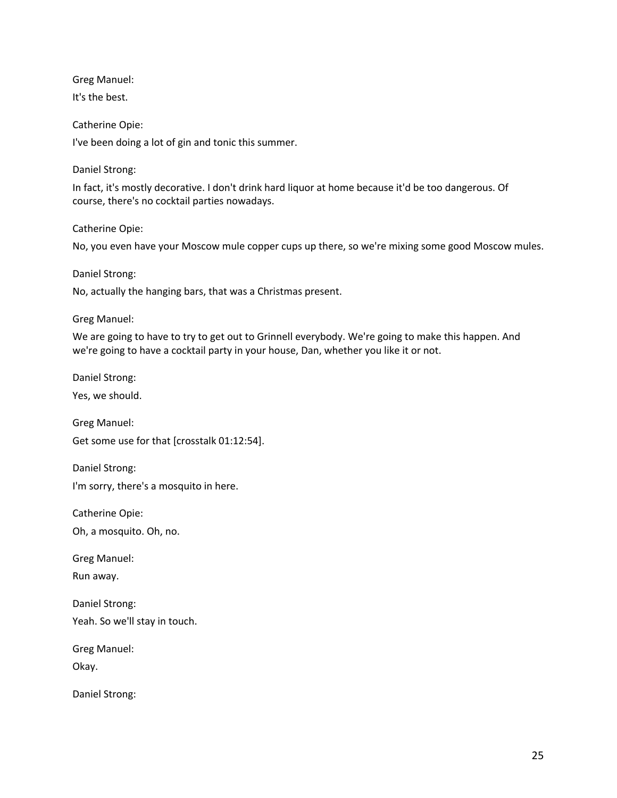Greg Manuel:

It's the best.

Catherine Opie: I've been doing a lot of gin and tonic this summer.

Daniel Strong:

In fact, it's mostly decorative. I don't drink hard liquor at home because it'd be too dangerous. Of course, there's no cocktail parties nowadays.

Catherine Opie:

No, you even have your Moscow mule copper cups up there, so we're mixing some good Moscow mules.

Daniel Strong:

No, actually the hanging bars, that was a Christmas present.

Greg Manuel:

We are going to have to try to get out to Grinnell everybody. We're going to make this happen. And we're going to have a cocktail party in your house, Dan, whether you like it or not.

Daniel Strong:

Yes, we should.

Greg Manuel:

Get some use for that [crosstalk 01:12:54].

Daniel Strong: I'm sorry, there's a mosquito in here.

Catherine Opie:

Oh, a mosquito. Oh, no.

Greg Manuel:

Run away.

Daniel Strong: Yeah. So we'll stay in touch.

Greg Manuel:

Okay.

Daniel Strong: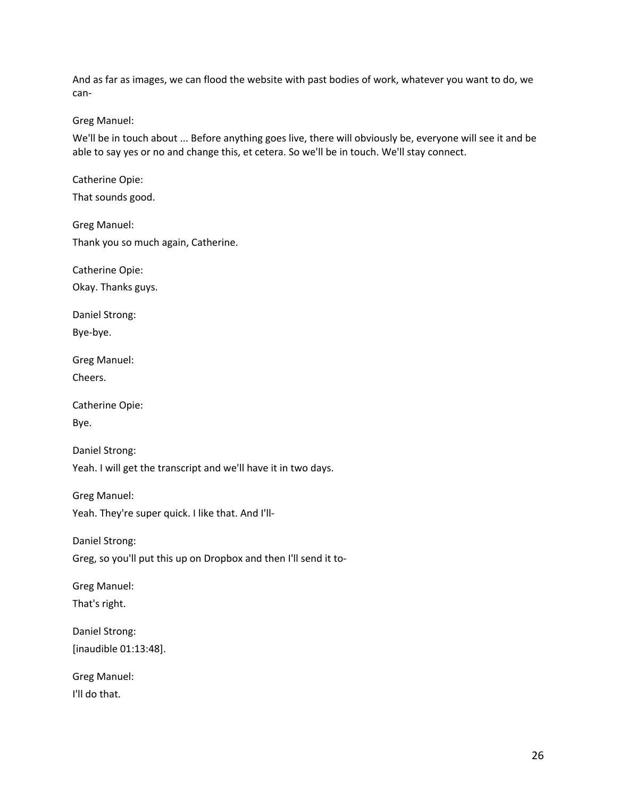And as far as images, we can flood the website with past bodies of work, whatever you want to do, we can-

Greg Manuel:

We'll be in touch about ... Before anything goes live, there will obviously be, everyone will see it and be able to say yes or no and change this, et cetera. So we'll be in touch. We'll stay connect.

Catherine Opie:

That sounds good.

Greg Manuel: Thank you so much again, Catherine.

Catherine Opie:

Okay. Thanks guys.

Daniel Strong:

Bye-bye.

Greg Manuel:

Cheers.

Catherine Opie: Bye.

Daniel Strong: Yeah. I will get the transcript and we'll have it in two days.

Greg Manuel: Yeah. They're super quick. I like that. And I'll-

Daniel Strong: Greg, so you'll put this up on Dropbox and then I'll send it to-

Greg Manuel: That's right.

Daniel Strong: [inaudible 01:13:48].

Greg Manuel: I'll do that.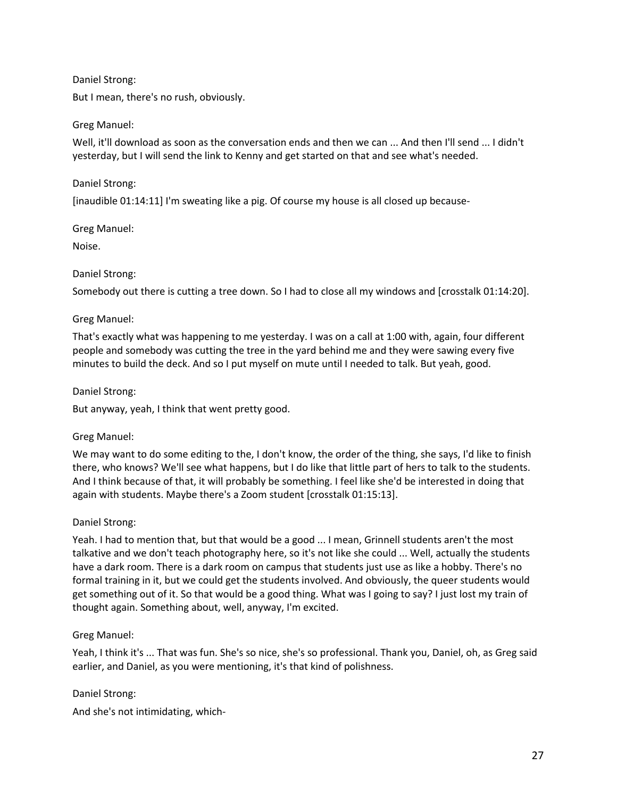### Daniel Strong:

But I mean, there's no rush, obviously.

### Greg Manuel:

Well, it'll download as soon as the conversation ends and then we can ... And then I'll send ... I didn't yesterday, but I will send the link to Kenny and get started on that and see what's needed.

### Daniel Strong:

[inaudible 01:14:11] I'm sweating like a pig. Of course my house is all closed up because-

### Greg Manuel:

Noise.

### Daniel Strong:

Somebody out there is cutting a tree down. So I had to close all my windows and [crosstalk 01:14:20].

### Greg Manuel:

That's exactly what was happening to me yesterday. I was on a call at 1:00 with, again, four different people and somebody was cutting the tree in the yard behind me and they were sawing every five minutes to build the deck. And so I put myself on mute until I needed to talk. But yeah, good.

### Daniel Strong:

But anyway, yeah, I think that went pretty good.

#### Greg Manuel:

We may want to do some editing to the, I don't know, the order of the thing, she says, I'd like to finish there, who knows? We'll see what happens, but I do like that little part of hers to talk to the students. And I think because of that, it will probably be something. I feel like she'd be interested in doing that again with students. Maybe there's a Zoom student [crosstalk 01:15:13].

#### Daniel Strong:

Yeah. I had to mention that, but that would be a good ... I mean, Grinnell students aren't the most talkative and we don't teach photography here, so it's not like she could ... Well, actually the students have a dark room. There is a dark room on campus that students just use as like a hobby. There's no formal training in it, but we could get the students involved. And obviously, the queer students would get something out of it. So that would be a good thing. What was I going to say? I just lost my train of thought again. Something about, well, anyway, I'm excited.

## Greg Manuel:

Yeah, I think it's ... That was fun. She's so nice, she's so professional. Thank you, Daniel, oh, as Greg said earlier, and Daniel, as you were mentioning, it's that kind of polishness.

#### Daniel Strong:

And she's not intimidating, which-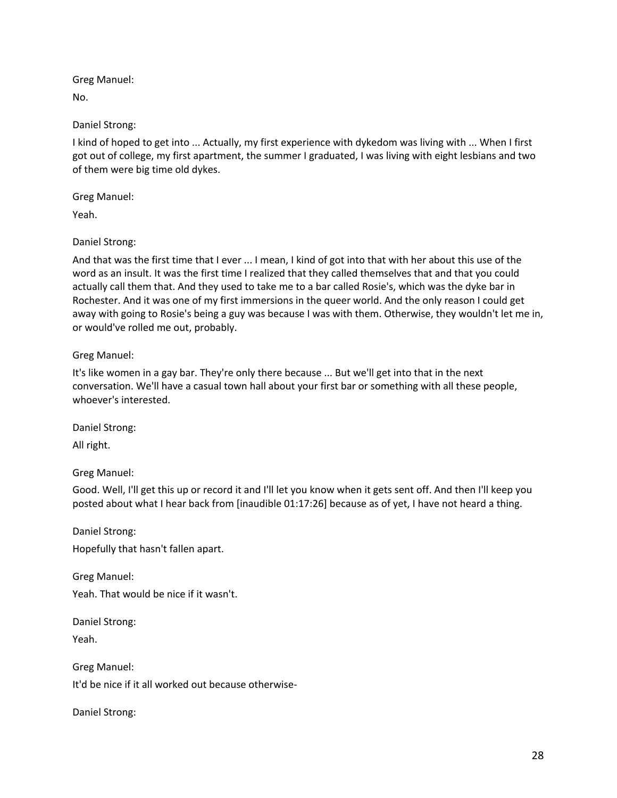Greg Manuel:

No.

Daniel Strong:

I kind of hoped to get into ... Actually, my first experience with dykedom was living with ... When I first got out of college, my first apartment, the summer I graduated, I was living with eight lesbians and two of them were big time old dykes.

Greg Manuel:

Yeah.

Daniel Strong:

And that was the first time that I ever ... I mean, I kind of got into that with her about this use of the word as an insult. It was the first time I realized that they called themselves that and that you could actually call them that. And they used to take me to a bar called Rosie's, which was the dyke bar in Rochester. And it was one of my first immersions in the queer world. And the only reason I could get away with going to Rosie's being a guy was because I was with them. Otherwise, they wouldn't let me in, or would've rolled me out, probably.

Greg Manuel:

It's like women in a gay bar. They're only there because ... But we'll get into that in the next conversation. We'll have a casual town hall about your first bar or something with all these people, whoever's interested.

Daniel Strong:

All right.

Greg Manuel:

Good. Well, I'll get this up or record it and I'll let you know when it gets sent off. And then I'll keep you posted about what I hear back from [inaudible 01:17:26] because as of yet, I have not heard a thing.

Daniel Strong: Hopefully that hasn't fallen apart.

Greg Manuel:

Yeah. That would be nice if it wasn't.

Daniel Strong:

Yeah.

Greg Manuel: It'd be nice if it all worked out because otherwise-

Daniel Strong: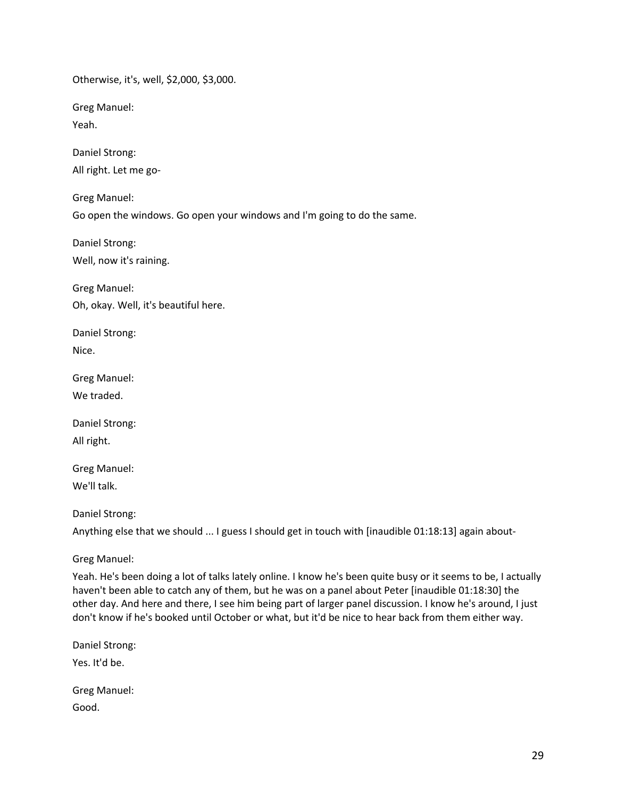Otherwise, it's, well, \$2,000, \$3,000.

Greg Manuel:

Yeah.

Daniel Strong: All right. Let me go-

Greg Manuel:

Go open the windows. Go open your windows and I'm going to do the same.

Daniel Strong: Well, now it's raining.

Greg Manuel: Oh, okay. Well, it's beautiful here.

Daniel Strong: Nice.

Greg Manuel:

We traded.

Daniel Strong: All right.

Greg Manuel: We'll talk.

Daniel Strong:

Anything else that we should ... I guess I should get in touch with [inaudible 01:18:13] again about-

Greg Manuel:

Yeah. He's been doing a lot of talks lately online. I know he's been quite busy or it seems to be, I actually haven't been able to catch any of them, but he was on a panel about Peter [inaudible 01:18:30] the other day. And here and there, I see him being part of larger panel discussion. I know he's around, I just don't know if he's booked until October or what, but it'd be nice to hear back from them either way.

Daniel Strong: Yes. It'd be. Greg Manuel:

Good.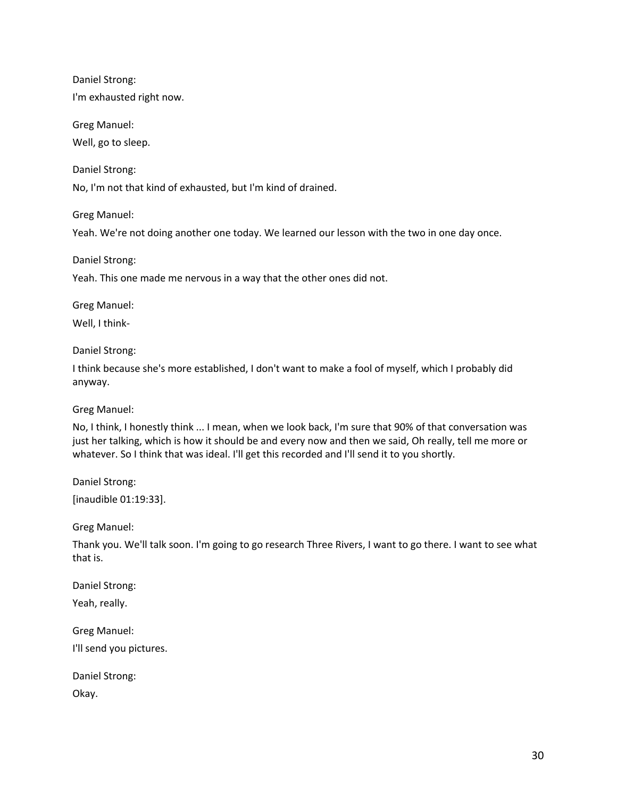Daniel Strong:

I'm exhausted right now.

Greg Manuel: Well, go to sleep.

Daniel Strong:

No, I'm not that kind of exhausted, but I'm kind of drained.

Greg Manuel:

Yeah. We're not doing another one today. We learned our lesson with the two in one day once.

Daniel Strong:

Yeah. This one made me nervous in a way that the other ones did not.

Greg Manuel:

Well, I think-

Daniel Strong:

I think because she's more established, I don't want to make a fool of myself, which I probably did anyway.

Greg Manuel:

No, I think, I honestly think ... I mean, when we look back, I'm sure that 90% of that conversation was just her talking, which is how it should be and every now and then we said, Oh really, tell me more or whatever. So I think that was ideal. I'll get this recorded and I'll send it to you shortly.

Daniel Strong: [inaudible 01:19:33].

Greg Manuel:

Thank you. We'll talk soon. I'm going to go research Three Rivers, I want to go there. I want to see what that is.

Daniel Strong:

Yeah, really.

Greg Manuel:

I'll send you pictures.

Daniel Strong:

Okay.